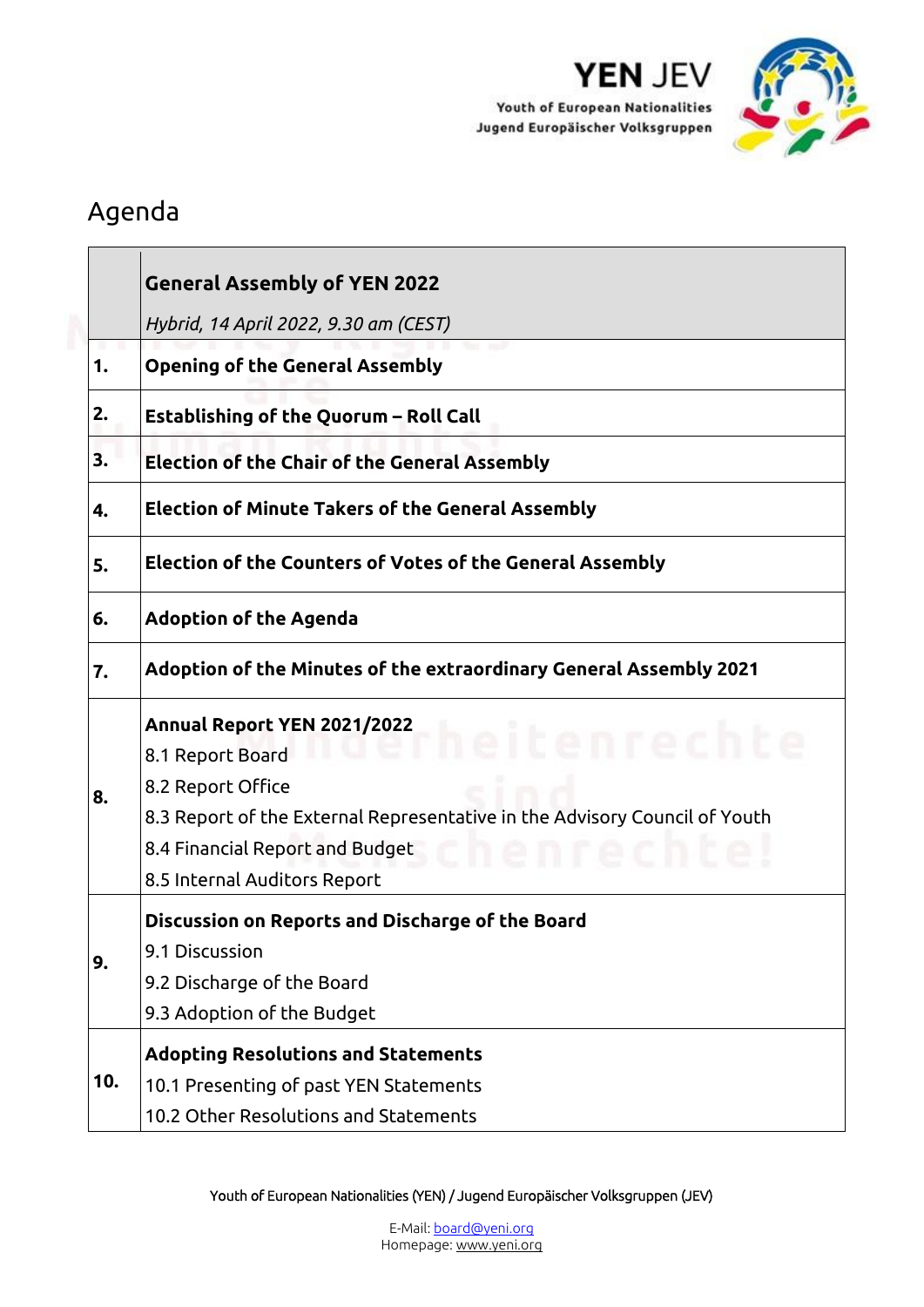

YEN JEV

Youth of European Nationalities Jugend Europäischer Volksgruppen

## Agenda

|     | <b>General Assembly of YEN 2022</b>                                                                                                                                                                                                                                                           |
|-----|-----------------------------------------------------------------------------------------------------------------------------------------------------------------------------------------------------------------------------------------------------------------------------------------------|
|     | Hybrid, 14 April 2022, 9.30 am (CEST)                                                                                                                                                                                                                                                         |
| 1.  | <b>Opening of the General Assembly</b>                                                                                                                                                                                                                                                        |
| 2.  | Establishing of the Quorum - Roll Call                                                                                                                                                                                                                                                        |
| 3.  | <b>Election of the Chair of the General Assembly</b>                                                                                                                                                                                                                                          |
| 4.  | <b>Election of Minute Takers of the General Assembly</b>                                                                                                                                                                                                                                      |
| 5.  | <b>Election of the Counters of Votes of the General Assembly</b>                                                                                                                                                                                                                              |
| 6.  | <b>Adoption of the Agenda</b>                                                                                                                                                                                                                                                                 |
| 7.  | Adoption of the Minutes of the extraordinary General Assembly 2021                                                                                                                                                                                                                            |
| 8.  | Annual Report YEN 2021/2022<br>Annual Report YEN 2021/2022<br>Annual Report YEN 2021/2022<br>8.1 Report Board<br>8.2 Report Office<br>8.3 Report of the External Representative in the Advisory Council of Youth<br>8.4 Financial Report and Budget<br>n recn<br>8.5 Internal Auditors Report |
| 9.  | Discussion on Reports and Discharge of the Board<br>9.1 Discussion<br>9.2 Discharge of the Board<br>9.3 Adoption of the Budget                                                                                                                                                                |
| 10. | <b>Adopting Resolutions and Statements</b><br>10.1 Presenting of past YEN Statements<br>10.2 Other Resolutions and Statements                                                                                                                                                                 |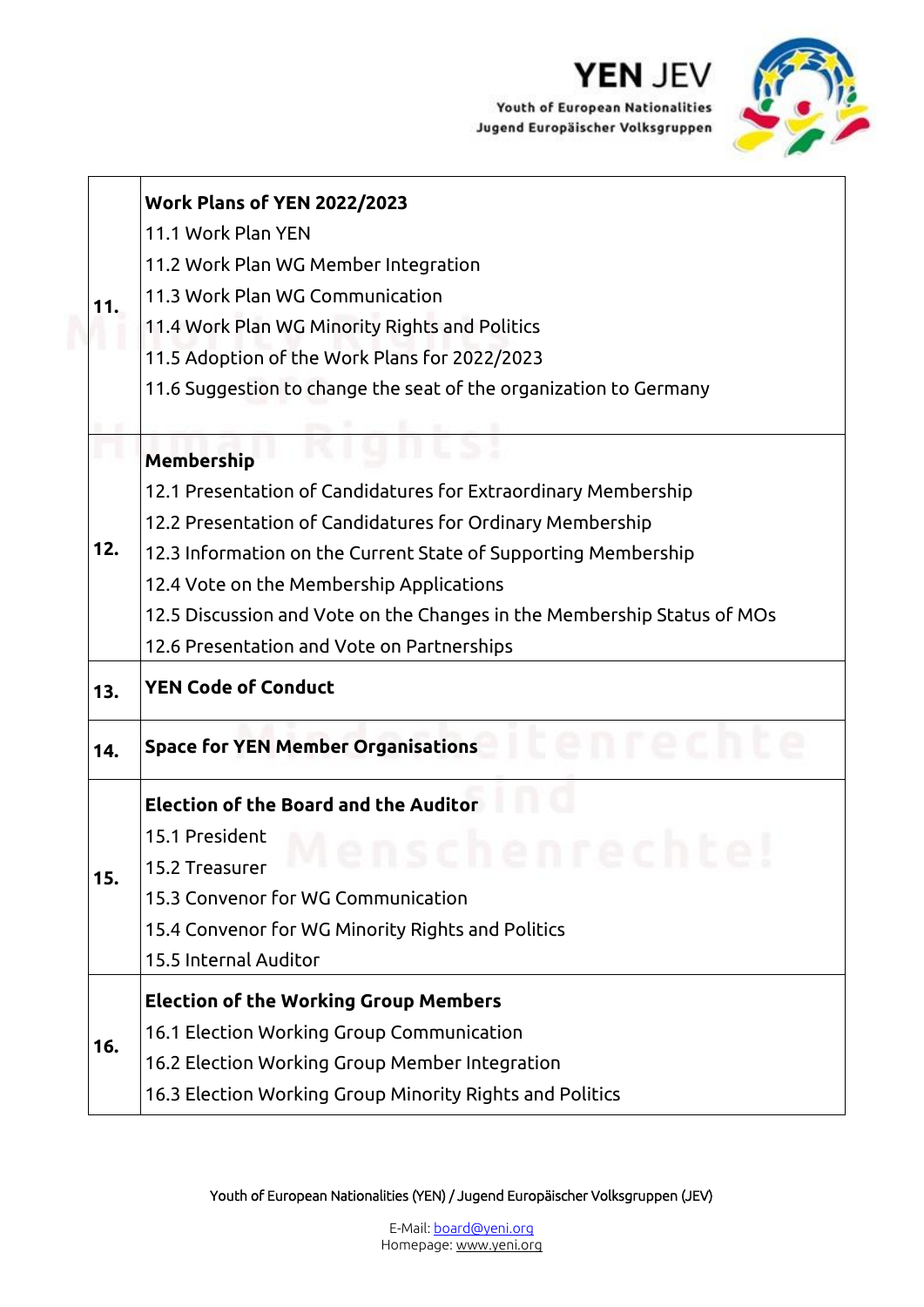

Youth of European Nationalities Jugend Europäischer Volksgruppen



|     | <b>Work Plans of YEN 2022/2023</b>                                      |
|-----|-------------------------------------------------------------------------|
|     | 11.1 Work Plan YEN                                                      |
|     | 11.2 Work Plan WG Member Integration                                    |
| 11. | 11.3 Work Plan WG Communication                                         |
|     | 11.4 Work Plan WG Minority Rights and Politics                          |
|     | 11.5 Adoption of the Work Plans for 2022/2023                           |
|     | 11.6 Suggestion to change the seat of the organization to Germany       |
|     |                                                                         |
|     | <b>Membership</b>                                                       |
|     | 12.1 Presentation of Candidatures for Extraordinary Membership          |
|     | 12.2 Presentation of Candidatures for Ordinary Membership               |
| 12. | 12.3 Information on the Current State of Supporting Membership          |
|     | 12.4 Vote on the Membership Applications                                |
|     | 12.5 Discussion and Vote on the Changes in the Membership Status of MOs |
|     | 12.6 Presentation and Vote on Partnerships                              |
| 13. | <b>YEN Code of Conduct</b>                                              |
| 14. | <b>Space for YEN Member Organisations</b>                               |
|     | <b>Election of the Board and the Auditor</b>                            |
|     | 15.1 President                                                          |
| 15. | 15.2 Treasurer                                                          |
|     | 15.3 Convenor for WG Communication                                      |
|     | 15.4 Convenor for WG Minority Rights and Politics                       |
|     | 15.5 Internal Auditor                                                   |
|     | <b>Election of the Working Group Members</b>                            |
|     | 16.1 Election Working Group Communication                               |
| 16. | 16.2 Election Working Group Member Integration                          |
|     | 16.3 Election Working Group Minority Rights and Politics                |
|     |                                                                         |